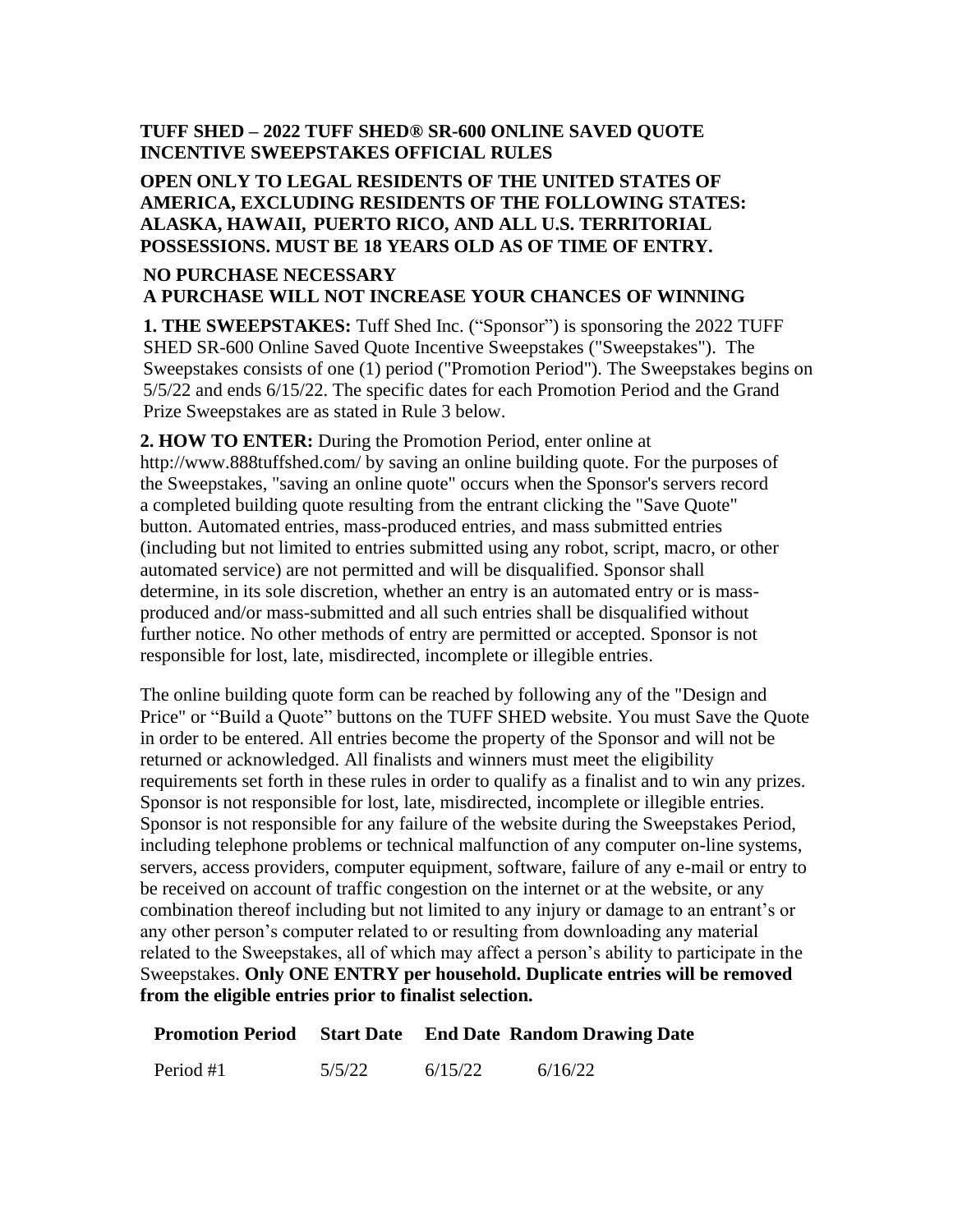## **TUFF SHED – 2022 TUFF SHED® SR-600 ONLINE SAVED QUOTE INCENTIVE SWEEPSTAKES OFFICIAL RULES**

## **OPEN ONLY TO LEGAL RESIDENTS OF THE UNITED STATES OF AMERICA, EXCLUDING RESIDENTS OF THE FOLLOWING STATES: ALASKA, HAWAII, PUERTO RICO, AND ALL U.S. TERRITORIAL POSSESSIONS. MUST BE 18 YEARS OLD AS OF TIME OF ENTRY.**

## **NO PURCHASE NECESSARY A PURCHASE WILL NOT INCREASE YOUR CHANCES OF WINNING**

**1. THE SWEEPSTAKES:** Tuff Shed Inc. ("Sponsor") is sponsoring the 2022 TUFF SHED SR-600 Online Saved Quote Incentive Sweepstakes ("Sweepstakes"). The Sweepstakes consists of one (1) period ("Promotion Period"). The Sweepstakes begins on 5/5/22 and ends 6/15/22. The specific dates for each Promotion Period and the Grand Prize Sweepstakes are as stated in Rule 3 below.

**2. HOW TO ENTER:** During the Promotion Period, enter online at http://www.888tuffshed.com/ by saving an online building quote. For the purposes of the Sweepstakes, "saving an online quote" occurs when the Sponsor's servers record a completed building quote resulting from the entrant clicking the "Save Quote" button. Automated entries, mass-produced entries, and mass submitted entries (including but not limited to entries submitted using any robot, script, macro, or other automated service) are not permitted and will be disqualified. Sponsor shall determine, in its sole discretion, whether an entry is an automated entry or is massproduced and/or mass-submitted and all such entries shall be disqualified without further notice. No other methods of entry are permitted or accepted. Sponsor is not responsible for lost, late, misdirected, incomplete or illegible entries.

The online building quote form can be reached by following any of the "Design and Price" or "Build a Quote" buttons on the TUFF SHED website. You must Save the Quote in order to be entered. All entries become the property of the Sponsor and will not be returned or acknowledged. All finalists and winners must meet the eligibility requirements set forth in these rules in order to qualify as a finalist and to win any prizes. Sponsor is not responsible for lost, late, misdirected, incomplete or illegible entries. Sponsor is not responsible for any failure of the website during the Sweepstakes Period, including telephone problems or technical malfunction of any computer on-line systems, servers, access providers, computer equipment, software, failure of any e-mail or entry to be received on account of traffic congestion on the internet or at the website, or any combination thereof including but not limited to any injury or damage to an entrant's or any other person's computer related to or resulting from downloading any material related to the Sweepstakes, all of which may affect a person's ability to participate in the Sweepstakes. **Only ONE ENTRY per household. Duplicate entries will be removed from the eligible entries prior to finalist selection.**

|           |        |         | <b>Promotion Period</b> Start Date End Date Random Drawing Date |
|-----------|--------|---------|-----------------------------------------------------------------|
| Period #1 | 5/5/22 | 6/15/22 | 6/16/22                                                         |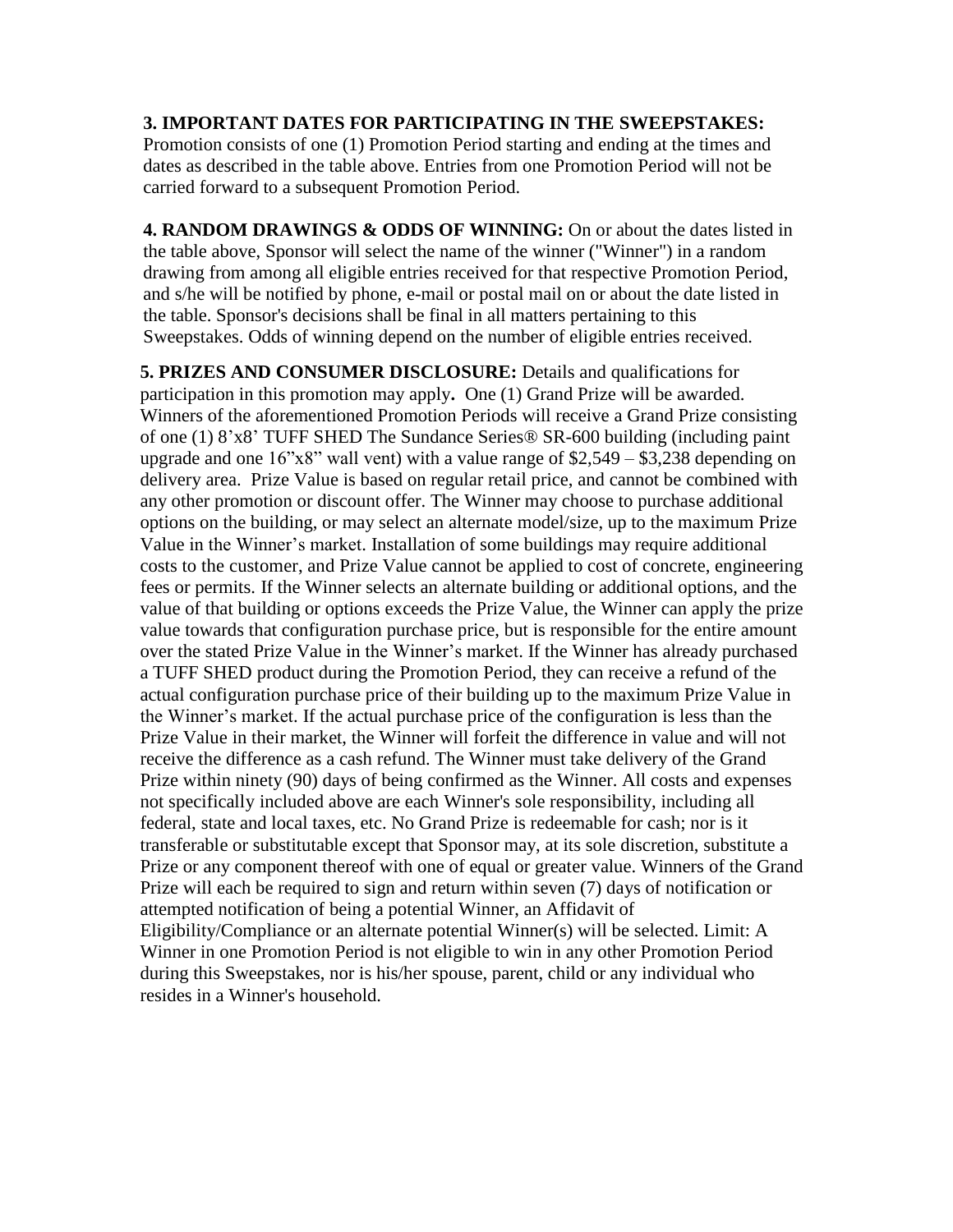**3. IMPORTANT DATES FOR PARTICIPATING IN THE SWEEPSTAKES:** Promotion consists of one (1) Promotion Period starting and ending at the times and dates as described in the table above. Entries from one Promotion Period will not be carried forward to a subsequent Promotion Period.

**4. RANDOM DRAWINGS & ODDS OF WINNING:** On or about the dates listed in the table above, Sponsor will select the name of the winner ("Winner") in a random drawing from among all eligible entries received for that respective Promotion Period, and s/he will be notified by phone, e-mail or postal mail on or about the date listed in the table. Sponsor's decisions shall be final in all matters pertaining to this Sweepstakes. Odds of winning depend on the number of eligible entries received.

**5. PRIZES AND CONSUMER DISCLOSURE:** Details and qualifications for participation in this promotion may apply**.** One (1) Grand Prize will be awarded. Winners of the aforementioned Promotion Periods will receive a Grand Prize consisting of one (1) 8'x8' TUFF SHED The Sundance Series® SR-600 building (including paint upgrade and one  $16$ "x8" wall vent) with a value range of  $$2,549 - $3,238$  depending on delivery area. Prize Value is based on regular retail price, and cannot be combined with any other promotion or discount offer. The Winner may choose to purchase additional options on the building, or may select an alternate model/size, up to the maximum Prize Value in the Winner's market. Installation of some buildings may require additional costs to the customer, and Prize Value cannot be applied to cost of concrete, engineering fees or permits. If the Winner selects an alternate building or additional options, and the value of that building or options exceeds the Prize Value, the Winner can apply the prize value towards that configuration purchase price, but is responsible for the entire amount over the stated Prize Value in the Winner's market. If the Winner has already purchased a TUFF SHED product during the Promotion Period, they can receive a refund of the actual configuration purchase price of their building up to the maximum Prize Value in the Winner's market. If the actual purchase price of the configuration is less than the Prize Value in their market, the Winner will forfeit the difference in value and will not receive the difference as a cash refund. The Winner must take delivery of the Grand Prize within ninety (90) days of being confirmed as the Winner. All costs and expenses not specifically included above are each Winner's sole responsibility, including all federal, state and local taxes, etc. No Grand Prize is redeemable for cash; nor is it transferable or substitutable except that Sponsor may, at its sole discretion, substitute a Prize or any component thereof with one of equal or greater value. Winners of the Grand Prize will each be required to sign and return within seven (7) days of notification or attempted notification of being a potential Winner, an Affidavit of Eligibility/Compliance or an alternate potential Winner(s) will be selected. Limit: A Winner in one Promotion Period is not eligible to win in any other Promotion Period during this Sweepstakes, nor is his/her spouse, parent, child or any individual who resides in a Winner's household.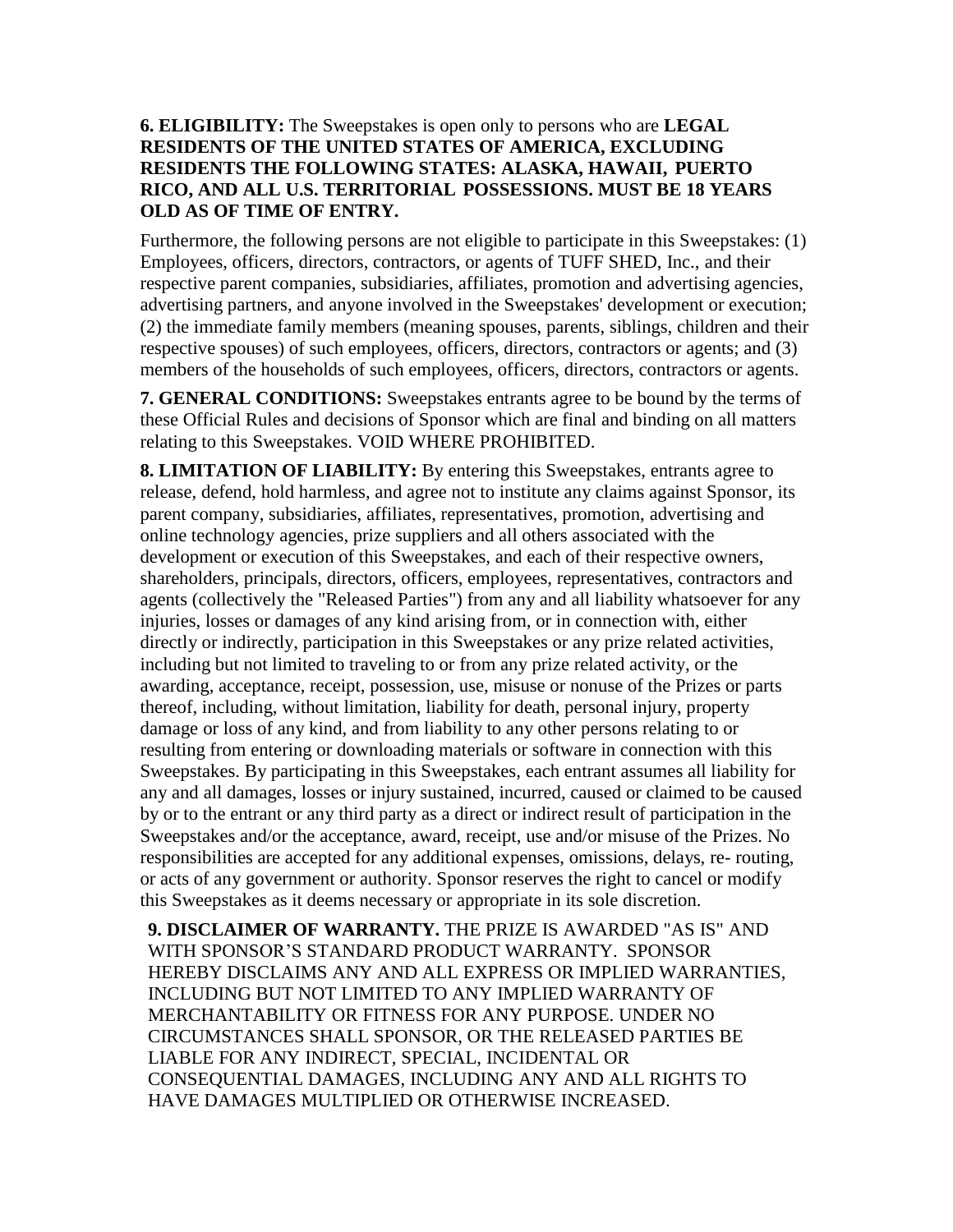## **6. ELIGIBILITY:** The Sweepstakes is open only to persons who are **LEGAL RESIDENTS OF THE UNITED STATES OF AMERICA, EXCLUDING RESIDENTS THE FOLLOWING STATES: ALASKA, HAWAII, PUERTO RICO, AND ALL U.S. TERRITORIAL POSSESSIONS. MUST BE 18 YEARS OLD AS OF TIME OF ENTRY.**

Furthermore, the following persons are not eligible to participate in this Sweepstakes: (1) Employees, officers, directors, contractors, or agents of TUFF SHED, Inc., and their respective parent companies, subsidiaries, affiliates, promotion and advertising agencies, advertising partners, and anyone involved in the Sweepstakes' development or execution; (2) the immediate family members (meaning spouses, parents, siblings, children and their respective spouses) of such employees, officers, directors, contractors or agents; and (3) members of the households of such employees, officers, directors, contractors or agents.

**7. GENERAL CONDITIONS:** Sweepstakes entrants agree to be bound by the terms of these Official Rules and decisions of Sponsor which are final and binding on all matters relating to this Sweepstakes. VOID WHERE PROHIBITED.

**8. LIMITATION OF LIABILITY:** By entering this Sweepstakes, entrants agree to release, defend, hold harmless, and agree not to institute any claims against Sponsor, its parent company, subsidiaries, affiliates, representatives, promotion, advertising and online technology agencies, prize suppliers and all others associated with the development or execution of this Sweepstakes, and each of their respective owners, shareholders, principals, directors, officers, employees, representatives, contractors and agents (collectively the "Released Parties") from any and all liability whatsoever for any injuries, losses or damages of any kind arising from, or in connection with, either directly or indirectly, participation in this Sweepstakes or any prize related activities, including but not limited to traveling to or from any prize related activity, or the awarding, acceptance, receipt, possession, use, misuse or nonuse of the Prizes or parts thereof, including, without limitation, liability for death, personal injury, property damage or loss of any kind, and from liability to any other persons relating to or resulting from entering or downloading materials or software in connection with this Sweepstakes. By participating in this Sweepstakes, each entrant assumes all liability for any and all damages, losses or injury sustained, incurred, caused or claimed to be caused by or to the entrant or any third party as a direct or indirect result of participation in the Sweepstakes and/or the acceptance, award, receipt, use and/or misuse of the Prizes. No responsibilities are accepted for any additional expenses, omissions, delays, re- routing, or acts of any government or authority. Sponsor reserves the right to cancel or modify this Sweepstakes as it deems necessary or appropriate in its sole discretion.

**9. DISCLAIMER OF WARRANTY.** THE PRIZE IS AWARDED "AS IS" AND WITH SPONSOR'S STANDARD PRODUCT WARRANTY. SPONSOR HEREBY DISCLAIMS ANY AND ALL EXPRESS OR IMPLIED WARRANTIES, INCLUDING BUT NOT LIMITED TO ANY IMPLIED WARRANTY OF MERCHANTABILITY OR FITNESS FOR ANY PURPOSE. UNDER NO CIRCUMSTANCES SHALL SPONSOR, OR THE RELEASED PARTIES BE LIABLE FOR ANY INDIRECT, SPECIAL, INCIDENTAL OR CONSEQUENTIAL DAMAGES, INCLUDING ANY AND ALL RIGHTS TO HAVE DAMAGES MULTIPLIED OR OTHERWISE INCREASED.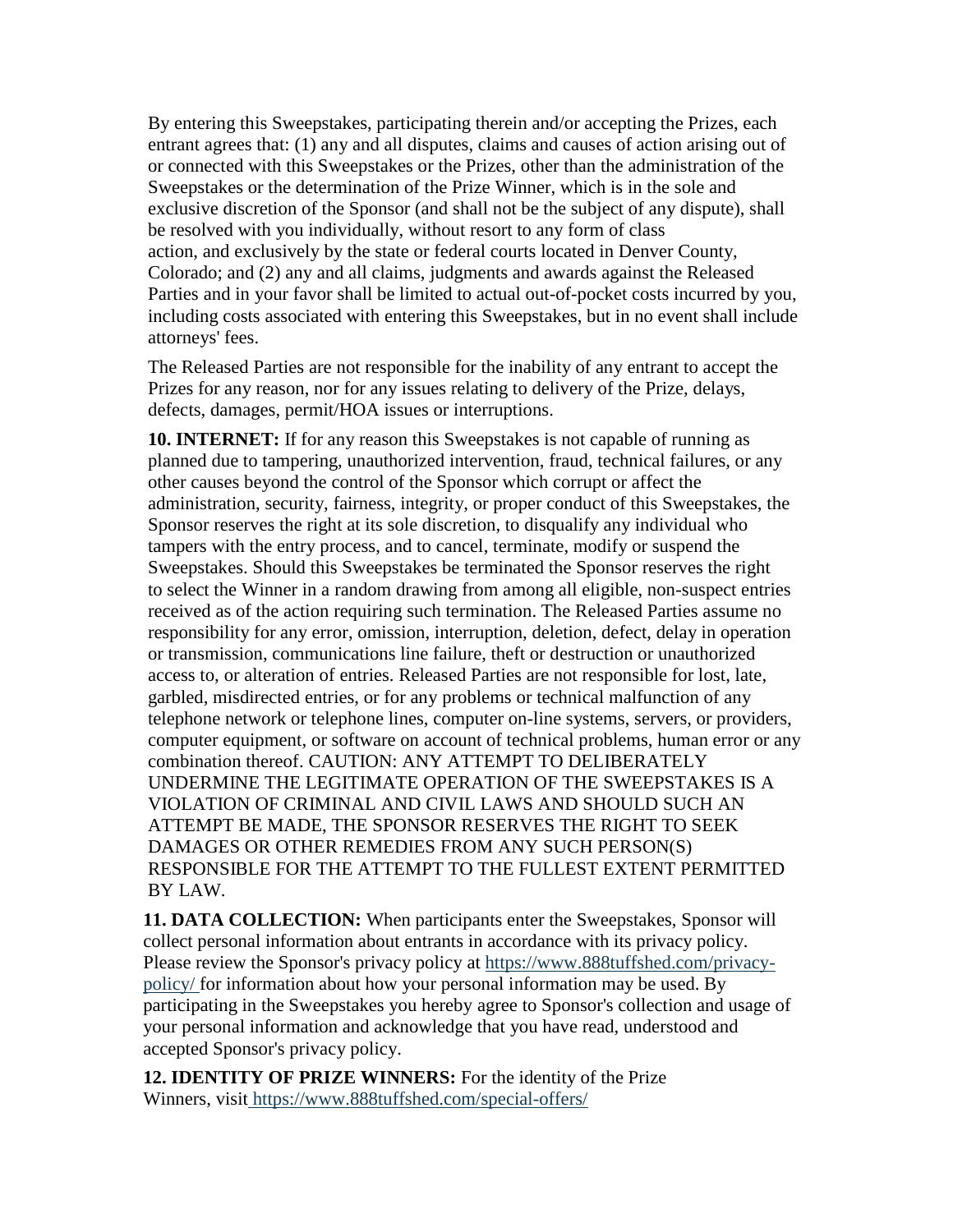By entering this Sweepstakes, participating therein and/or accepting the Prizes, each entrant agrees that: (1) any and all disputes, claims and causes of action arising out of or connected with this Sweepstakes or the Prizes, other than the administration of the Sweepstakes or the determination of the Prize Winner, which is in the sole and exclusive discretion of the Sponsor (and shall not be the subject of any dispute), shall be resolved with you individually, without resort to any form of class action, and exclusively by the state or federal courts located in Denver County, Colorado; and (2) any and all claims, judgments and awards against the Released Parties and in your favor shall be limited to actual out-of-pocket costs incurred by you, including costs associated with entering this Sweepstakes, but in no event shall include attorneys' fees.

The Released Parties are not responsible for the inability of any entrant to accept the Prizes for any reason, nor for any issues relating to delivery of the Prize, delays, defects, damages, permit/HOA issues or interruptions.

**10. INTERNET:** If for any reason this Sweepstakes is not capable of running as planned due to tampering, unauthorized intervention, fraud, technical failures, or any other causes beyond the control of the Sponsor which corrupt or affect the administration, security, fairness, integrity, or proper conduct of this Sweepstakes, the Sponsor reserves the right at its sole discretion, to disqualify any individual who tampers with the entry process, and to cancel, terminate, modify or suspend the Sweepstakes. Should this Sweepstakes be terminated the Sponsor reserves the right to select the Winner in a random drawing from among all eligible, non-suspect entries received as of the action requiring such termination. The Released Parties assume no responsibility for any error, omission, interruption, deletion, defect, delay in operation or transmission, communications line failure, theft or destruction or unauthorized access to, or alteration of entries. Released Parties are not responsible for lost, late, garbled, misdirected entries, or for any problems or technical malfunction of any telephone network or telephone lines, computer on-line systems, servers, or providers, computer equipment, or software on account of technical problems, human error or any combination thereof. CAUTION: ANY ATTEMPT TO DELIBERATELY UNDERMINE THE LEGITIMATE OPERATION OF THE SWEEPSTAKES IS A VIOLATION OF CRIMINAL AND CIVIL LAWS AND SHOULD SUCH AN ATTEMPT BE MADE, THE SPONSOR RESERVES THE RIGHT TO SEEK DAMAGES OR OTHER REMEDIES FROM ANY SUCH PERSON(S) RESPONSIBLE FOR THE ATTEMPT TO THE FULLEST EXTENT PERMITTED BY LAW.

**11. DATA COLLECTION:** When participants enter the Sweepstakes, Sponsor will collect personal information about entrants in accordance with its privacy policy. Please review the Sponsor's privacy policy at [https://www.888tuffshed.com/privacy](https://www.888tuffshed.com/privacy-policy/)[policy/](https://www.888tuffshed.com/privacy-policy/) for information about how your personal information may be used. By participating in the Sweepstakes you hereby agree to Sponsor's collection and usage of your personal information and acknowledge that you have read, understood and accepted Sponsor's privacy policy.

**12. IDENTITY OF PRIZE WINNERS:** For the identity of the Prize Winners, visit <https://www.888tuffshed.com/special-offers/>